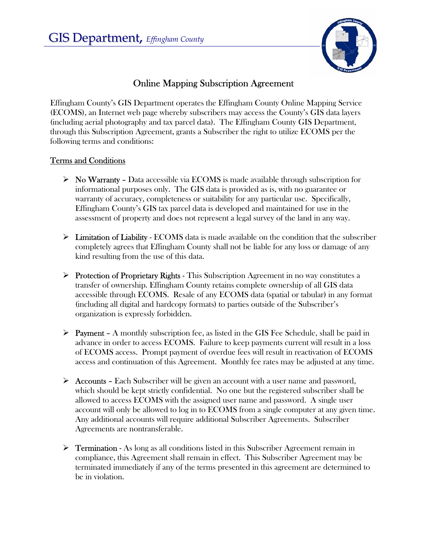

## Online Mapping Subscription Agreement

Effingham County's GIS Department operates the Effingham County Online Mapping Service (ECOMS), an Internet web page whereby subscribers may access the County's GIS data layers (including aerial photography and tax parcel data). The Effingham County GIS Department, through this Subscription Agreement, grants a Subscriber the right to utilize ECOMS per the following terms and conditions:

## Terms and Conditions

- $\triangleright$  No Warranty Data accessible via ECOMS is made available through subscription for informational purposes only. The GIS data is provided as is, with no guarantee or warranty of accuracy, completeness or suitability for any particular use. Specifically, Effingham County's GIS tax parcel data is developed and maintained for use in the assessment of property and does not represent a legal survey of the land in any way.
- $\triangleright$  Limitation of Liability ECOMS data is made available on the condition that the subscriber completely agrees that Effingham County shall not be liable for any loss or damage of any kind resulting from the use of this data.
- $\triangleright$  Protection of Proprietary Rights This Subscription Agreement in no way constitutes a transfer of ownership. Effingham County retains complete ownership of all GIS data accessible through ECOMS. Resale of any ECOMS data (spatial or tabular) in any format (including all digital and hardcopy formats) to parties outside of the Subscriber's organization is expressly forbidden.
- $\triangleright$  Payment A monthly subscription fee, as listed in the GIS Fee Schedule, shall be paid in advance in order to access ECOMS. Failure to keep payments current will result in a loss of ECOMS access. Prompt payment of overdue fees will result in reactivation of ECOMS access and continuation of this Agreement. Monthly fee rates may be adjusted at any time.
- ¾ Accounts Each Subscriber will be given an account with a user name and password, which should be kept strictly confidential. No one but the registered subscriber shall be allowed to access ECOMS with the assigned user name and password. A single user account will only be allowed to log in to ECOMS from a single computer at any given time. Any additional accounts will require additional Subscriber Agreements. Subscriber Agreements are nontransferable.
- $\triangleright$  Termination As long as all conditions listed in this Subscriber Agreement remain in compliance, this Agreement shall remain in effect. This Subscriber Agreement may be terminated immediately if any of the terms presented in this agreement are determined to be in violation.